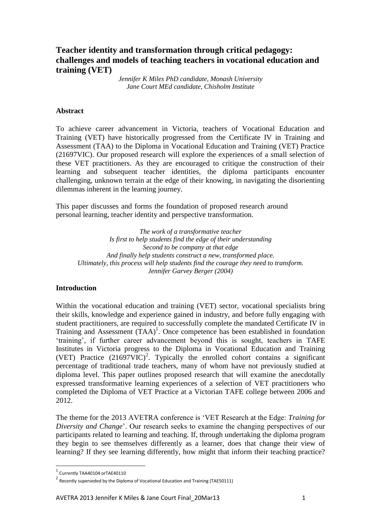# **Teacher identity and transformation through critical pedagogy: challenges and models of teaching teachers in vocational education and training (VET)**

*Jennifer K Miles PhD candidate, Monash University Jane Court MEd candidate, Chisholm Institute*

#### **Abstract**

To achieve career advancement in Victoria, teachers of Vocational Education and Training (VET) have historically progressed from the Certificate IV in Training and Assessment (TAA) to the Diploma in Vocational Education and Training (VET) Practice (21697VIC). Our proposed research will explore the experiences of a small selection of these VET practitioners. As they are encouraged to critique the construction of their learning and subsequent teacher identities, the diploma participants encounter challenging, unknown terrain at the edge of their knowing, in navigating the disorienting dilemmas inherent in the learning journey.

This paper discusses and forms the foundation of proposed research around personal learning, teacher identity and perspective transformation.

*The work of a transformative teacher Is first to help students find the edge of their understanding Second to be company at that edge And finally help students construct a new, transformed place. Ultimately, this process will help students find the courage they need to transform. Jennifer Garvey Berger (2004)*

#### **Introduction**

Within the vocational education and training (VET) sector, vocational specialists bring their skills, knowledge and experience gained in industry, and before fully engaging with student practitioners, are required to successfully complete the mandated Certificate IV in Training and Assessment  $(TAA)^1$ . Once competence has been established in foundation 'training', if further career advancement beyond this is sought, teachers in TAFE Institutes in Victoria progress to the Diploma in Vocational Education and Training (VET) Practice  $(21697VIC)^2$ . Typically the enrolled cohort contains a significant percentage of traditional trade teachers, many of whom have not previously studied at diploma level. This paper outlines proposed research that will examine the anecdotally expressed transformative learning experiences of a selection of VET practitioners who completed the Diploma of VET Practice at a Victorian TAFE college between 2006 and 2012.

The theme for the 2013 AVETRA conference is 'VET Research at the Edge: *Training for Diversity and Change*'. Our research seeks to examine the changing perspectives of our participants related to learning and teaching. If, through undertaking the diploma program they begin to see themselves differently as a learner, does that change their view of learning? If they see learning differently, how might that inform their teaching practice?

1

 $1$  Currently TAA40104 orTAE40110

<sup>&</sup>lt;sup>2</sup> Recently superseded by the Diploma of Vocational Education and Training (TAE50111)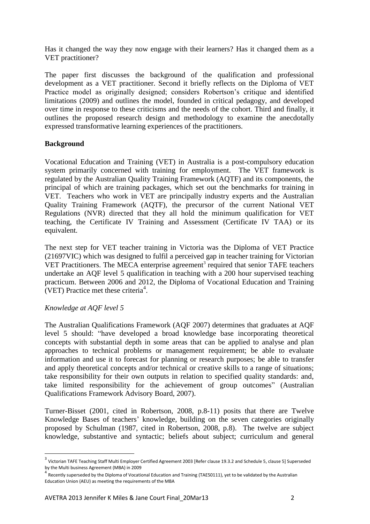Has it changed the way they now engage with their learners? Has it changed them as a VET practitioner?

The paper first discusses the background of the qualification and professional development as a VET practitioner. Second it briefly reflects on the Diploma of VET Practice model as originally designed; considers Robertson's critique and identified limitations (2009) and outlines the model, founded in critical pedagogy, and developed over time in response to these criticisms and the needs of the cohort. Third and finally, it outlines the proposed research design and methodology to examine the anecdotally expressed transformative learning experiences of the practitioners.

## **Background**

Vocational Education and Training (VET) in Australia is a post-compulsory education system primarily concerned with training for employment. The VET framework is regulated by the Australian Quality Training Framework (AQTF) and its components, the principal of which are training packages, which set out the benchmarks for training in VET. Teachers who work in VET are principally industry experts and the Australian Quality Training Framework (AQTF), the precursor of the current National VET Regulations (NVR) directed that they all hold the minimum qualification for VET teaching, the Certificate IV Training and Assessment (Certificate IV TAA) or its equivalent.

The next step for VET teacher training in Victoria was the Diploma of VET Practice (21697VIC) which was designed to fulfil a perceived gap in teacher training for Victorian VET Practitioners. The MECA enterprise agreement<sup>3</sup> required that senior TAFE teachers undertake an AQF level 5 qualification in teaching with a 200 hour supervised teaching practicum. Between 2006 and 2012, the Diploma of Vocational Education and Training (VET) Practice met these criteria<sup>4</sup>.

# *Knowledge at AQF level 5*

**.** 

The Australian Qualifications Framework (AQF 2007) determines that graduates at AQF level 5 should: "have developed a broad knowledge base incorporating theoretical concepts with substantial depth in some areas that can be applied to analyse and plan approaches to technical problems or management requirement; be able to evaluate information and use it to forecast for planning or research purposes; be able to transfer and apply theoretical concepts and/or technical or creative skills to a range of situations; take responsibility for their own outputs in relation to specified quality standards: and, take limited responsibility for the achievement of group outcomes" (Australian Qualifications Framework Advisory Board, 2007).

Turner-Bisset (2001, cited in Robertson, 2008, p.8-11) posits that there are Twelve Knowledge Bases of teachers' knowledge, building on the seven categories originally proposed by Schulman (1987, cited in Robertson, 2008, p.8). The twelve are subject knowledge, substantive and syntactic; beliefs about subject; curriculum and general

<sup>&</sup>lt;sup>3</sup> Victorian TAFE Teaching Staff Multi Employer Certified Agreement 2003 [Refer clause 19.3.2 and Schedule 5, clause 5] Superseded by the Multi business Agreement (MBA) in 2009

<sup>&</sup>lt;sup>4</sup> Recently superseded by the Diploma of Vocational Education and Training (TAE50111), yet to be validated by the Australian Education Union (AEU) as meeting the requirements of the MBA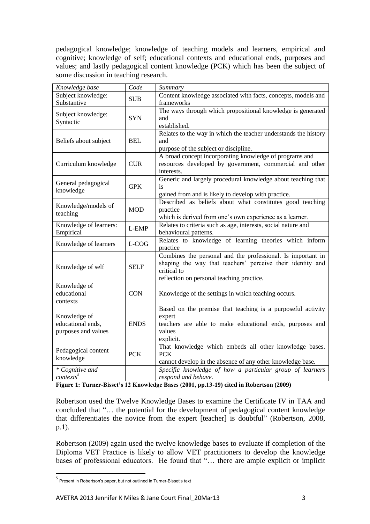pedagogical knowledge; knowledge of teaching models and learners, empirical and cognitive; knowledge of self; educational contexts and educational ends, purposes and values; and lastly pedagogical content knowledge (PCK) which has been the subject of some discussion in teaching research.

| Knowledge base                                           | Code        | Summary                                                                                                                                                                               |
|----------------------------------------------------------|-------------|---------------------------------------------------------------------------------------------------------------------------------------------------------------------------------------|
| Subject knowledge:<br>Substantive                        | <b>SUB</b>  | Content knowledge associated with facts, concepts, models and<br>frameworks                                                                                                           |
| Subject knowledge:<br>Syntactic                          | <b>SYN</b>  | The ways through which propositional knowledge is generated<br>and<br>established.                                                                                                    |
| Beliefs about subject                                    | <b>BEL</b>  | Relates to the way in which the teacher understands the history<br>and<br>purpose of the subject or discipline.                                                                       |
| Curriculum knowledge                                     | <b>CUR</b>  | A broad concept incorporating knowledge of programs and<br>resources developed by government, commercial and other<br>interests.                                                      |
| General pedagogical<br>knowledge                         | <b>GPK</b>  | Generic and largely procedural knowledge about teaching that<br>is<br>gained from and is likely to develop with practice.                                                             |
| Knowledge/models of<br>teaching                          | <b>MOD</b>  | Described as beliefs about what constitutes good teaching<br>practice<br>which is derived from one's own experience as a learner.                                                     |
| Knowledge of learners:<br>Empirical                      | L-EMP       | Relates to criteria such as age, interests, social nature and<br>behavioural patterns.                                                                                                |
| Knowledge of learners                                    | L-COG       | Relates to knowledge of learning theories which inform<br>practice                                                                                                                    |
| Knowledge of self                                        | <b>SELF</b> | Combines the personal and the professional. Is important in<br>shaping the way that teachers' perceive their identity and<br>critical to<br>reflection on personal teaching practice. |
| Knowledge of<br>educational<br>contexts                  | <b>CON</b>  | Knowledge of the settings in which teaching occurs.                                                                                                                                   |
| Knowledge of<br>educational ends,<br>purposes and values | <b>ENDS</b> | Based on the premise that teaching is a purposeful activity<br>expert<br>teachers are able to make educational ends, purposes and<br>values<br>explicit.                              |
| Pedagogical content<br>knowledge                         | <b>PCK</b>  | That knowledge which embeds all other knowledge bases.<br><b>PCK</b><br>cannot develop in the absence of any other knowledge base.                                                    |
| * Cognitive and<br>$contexts^5$                          |             | Specific knowledge of how a particular group of learners<br>respond and behave.                                                                                                       |

**Figure 1: Turner-Bisset's 12 Knowledge Bases (2001, pp.13-19) cited in Robertson (2009)**

Robertson used the Twelve Knowledge Bases to examine the Certificate IV in TAA and concluded that "… the potential for the development of pedagogical content knowledge that differentiates the novice from the expert [teacher] is doubtful" (Robertson, 2008, p.1).

Robertson (2009) again used the twelve knowledge bases to evaluate if completion of the Diploma VET Practice is likely to allow VET practitioners to develop the knowledge bases of professional educators. He found that "… there are ample explicit or implicit

**.** 

<sup>5</sup> Present in Robertson's paper, but not outlined in Turner-Bisset's text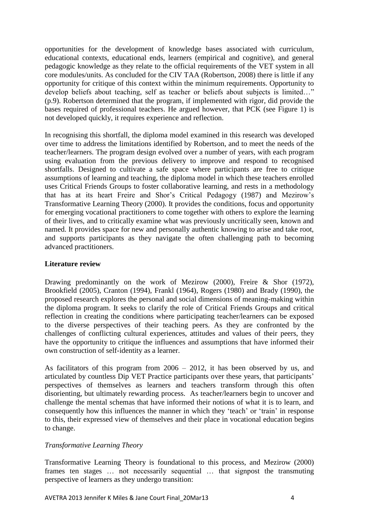opportunities for the development of knowledge bases associated with curriculum, educational contexts, educational ends, learners (empirical and cognitive), and general pedagogic knowledge as they relate to the official requirements of the VET system in all core modules/units. As concluded for the CIV TAA (Robertson, 2008) there is little if any opportunity for critique of this context within the minimum requirements. Opportunity to develop beliefs about teaching, self as teacher or beliefs about subjects is limited…" (p.9). Robertson determined that the program, if implemented with rigor, did provide the bases required of professional teachers. He argued however, that PCK (see Figure 1) is not developed quickly, it requires experience and reflection.

In recognising this shortfall, the diploma model examined in this research was developed over time to address the limitations identified by Robertson, and to meet the needs of the teacher/learners. The program design evolved over a number of years, with each program using evaluation from the previous delivery to improve and respond to recognised shortfalls. Designed to cultivate a safe space where participants are free to critique assumptions of learning and teaching, the diploma model in which these teachers enrolled uses Critical Friends Groups to foster collaborative learning, and rests in a methodology that has at its heart Freire and Shor's Critical Pedagogy [\(1987\)](#page-9-0) and Mezirow's Transformative Learning Theory (2000). It provides the conditions, focus and opportunity for emerging vocational practitioners to come together with others to explore the learning of their lives, and to critically examine what was previously uncritically seen, known and named. It provides space for new and personally authentic knowing to arise and take root, and supports participants as they navigate the often challenging path to becoming advanced practitioners.

### **Literature review**

Drawing predominantly on the work of Mezirow [\(2000\)](#page-9-1), Freire & Shor [\(1972\)](#page-9-2), Brookfield [\(2005\)](#page-9-3), Cranton [\(1994\)](#page-9-4), Frankl [\(1964\)](#page-9-5), Rogers [\(1980\)](#page-9-6) and Brady [\(1990\)](#page-9-7), the proposed research explores the personal and social dimensions of meaning-making within the diploma program. It seeks to clarify the role of Critical Friends Groups and critical reflection in creating the conditions where participating teacher/learners can be exposed to the diverse perspectives of their teaching peers. As they are confronted by the challenges of conflicting cultural experiences, attitudes and values of their peers, they have the opportunity to critique the influences and assumptions that have informed their own construction of self-identity as a learner.

As facilitators of this program from 2006 – 2012, it has been observed by us, and articulated by countless Dip VET Practice participants over these years, that participants' perspectives of themselves as learners and teachers transform through this often disorienting, but ultimately rewarding process. As teacher/learners begin to uncover and challenge the mental schemas that have informed their notions of what it is to learn, and consequently how this influences the manner in which they 'teach' or 'train' in response to this, their expressed view of themselves and their place in vocational education begins to change.

# *Transformative Learning Theory*

Transformative Learning Theory is foundational to this process, and Mezirow [\(2000\)](#page-9-1) frames ten stages … not necessarily sequential … that signpost the transmuting perspective of learners as they undergo transition: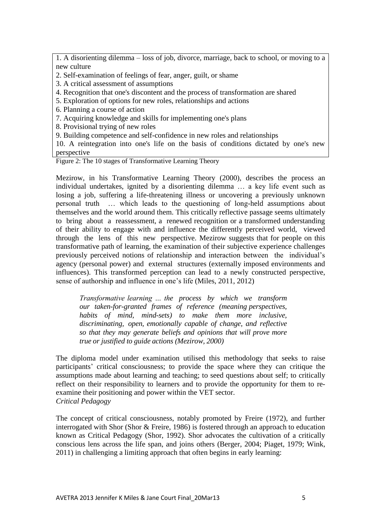1. A disorienting dilemma – loss of job, divorce, marriage, back to school, or moving to a new culture

- 2. Self-examination of feelings of fear, anger, guilt, or shame
- 3. A critical assessment of assumptions
- 4. Recognition that one's discontent and the process of transformation are shared
- 5. Exploration of options for new roles, relationships and actions
- 6. Planning a course of action
- 7. Acquiring knowledge and skills for implementing one's plans
- 8. Provisional trying of new roles
- 9. Building competence and self-confidence in new roles and relationships

10. A reintegration into one's life on the basis of conditions dictated by one's new perspective

Figure 2: The 10 stages of Transformative Learning Theory

Mezirow, in his Transformative Learning Theory (2000), describes the process an individual undertakes, ignited by a disorienting dilemma … a key life event such as losing a job, suffering a life-threatening illness or uncovering a previously unknown personal truth … which leads to the questioning of long-held assumptions about themselves and the world around them. This critically reflective passage seems ultimately to bring about a reassessment, a renewed recognition or a transformed understanding of their ability to engage with and influence the differently perceived world, viewed through the lens of this new perspective. Mezirow suggests that for people on this transformative path of learning, the examination of their subjective experience challenges previously perceived notions of relationship and interaction between the individual's agency (personal power) and external structures (externally imposed environments and influences). This transformed perception can lead to a newly constructed perspective, sense of authorship and influence in one's life [\(Miles, 2011,](#page-9-8) [2012\)](#page-9-9)

*Transformative learning … the process by which we transform our taken-for-granted frames of reference (meaning perspectives, habits of mind, mind-sets) to make them more inclusive, discriminating, open, emotionally capable of change, and reflective so that they may generate beliefs and opinions that will prove more true or justified to guide actions (Mezirow, 2000)*

The diploma model under examination utilised this methodology that seeks to raise participants' critical consciousness; to provide the space where they can critique the assumptions made about learning and teaching; to seed questions about self; to critically reflect on their responsibility to learners and to provide the opportunity for them to reexamine their positioning and power within the VET sector. *Critical Pedagogy*

The concept of critical consciousness, notably promoted by Freire [\(1972\)](#page-9-2), and further interrogated with Shor [\(Shor & Freire, 1986\)](#page-9-10) is fostered through an approach to education known as Critical Pedagogy [\(Shor, 1992\)](#page-9-11). Shor advocates the cultivation of a critically conscious lens across the life span, and joins others [\(Berger, 2004;](#page-9-12) [Piaget, 1979;](#page-9-13) [Wink,](#page-9-14)  [2011\)](#page-9-14) in challenging a limiting approach that often begins in early learning: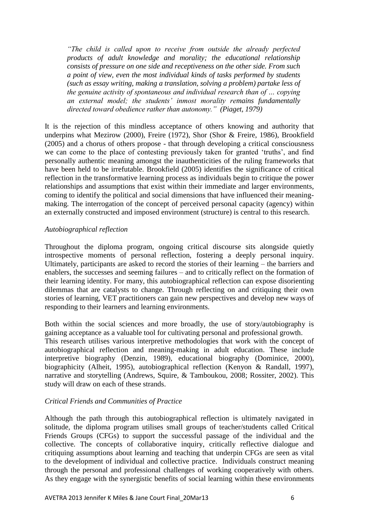*"The child is called upon to receive from outside the already perfected products of adult knowledge and morality; the educational relationship consists of pressure on one side and receptiveness on the other side. From such a point of view, even the most individual kinds of tasks performed by students (such as essay writing, making a translation, solving a problem) partake less of the genuine activity of spontaneous and individual research than of … copying an external model; the students' inmost morality remains fundamentally directed toward obedience rather than autonomy." [\(Piaget, 1979\)](#page-9-13)*

It is the rejection of this mindless acceptance of others knowing and authority that underpins what Mezirow [\(2000\)](#page-9-1), Freire [\(1972\)](#page-9-2), Shor [\(Shor & Freire, 1986\)](#page-9-10), Brookfield [\(2005\)](#page-9-3) and a chorus of others propose - that through developing a critical consciousness we can come to the place of contesting previously taken for granted 'truths', and find personally authentic meaning amongst the inauthenticities of the ruling frameworks that have been held to be irrefutable. Brookfield [\(2005\)](#page-9-3) identifies the significance of critical reflection in the transformative learning process as individuals begin to critique the power relationships and assumptions that exist within their immediate and larger environments, coming to identify the political and social dimensions that have influenced their meaningmaking. The interrogation of the concept of perceived personal capacity (agency) within an externally constructed and imposed environment (structure) is central to this research.

#### *Autobiographical reflection*

Throughout the diploma program, ongoing critical discourse sits alongside quietly introspective moments of personal reflection, fostering a deeply personal inquiry. Ultimately, participants are asked to record the stories of their learning – the barriers and enablers, the successes and seeming failures – and to critically reflect on the formation of their learning identity. For many, this autobiographical reflection can expose disorienting dilemmas that are catalysts to change. Through reflecting on and critiquing their own stories of learning, VET practitioners can gain new perspectives and develop new ways of responding to their learners and learning environments.

Both within the social sciences and more broadly, the use of story/autobiography is gaining acceptance as a valuable tool for cultivating personal and professional growth. This research utilises various interpretive methodologies that work with the concept of autobiographical reflection and meaning-making in adult education. These include interpretive biography [\(Denzin, 1989\)](#page-9-15), educational biography [\(Dominice, 2000\)](#page-9-16), biographicity [\(Alheit, 1995\)](#page-8-0), autobiographical reflection [\(Kenyon & Randall, 1997\)](#page-9-17), narrative and storytelling [\(Andrews, Squire, & Tamboukou, 2008;](#page-8-1) [Rossiter, 2002\)](#page-9-18). This study will draw on each of these strands.

#### *Critical Friends and Communities of Practice*

Although the path through this autobiographical reflection is ultimately navigated in solitude, the diploma program utilises small groups of teacher/students called Critical Friends Groups (CFGs) to support the successful passage of the individual and the collective. The concepts of collaborative inquiry, critically reflective dialogue and critiquing assumptions about learning and teaching that underpin CFGs are seen as vital to the development of individual and collective practice. Individuals construct meaning through the personal and professional challenges of working cooperatively with others. As they engage with the synergistic benefits of social learning within these environments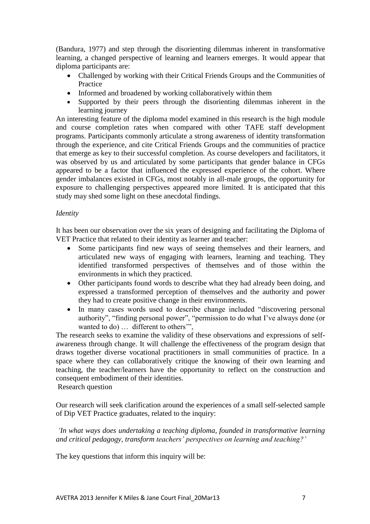[\(Bandura, 1977\)](#page-8-2) and step through the disorienting dilemmas inherent in transformative learning, a changed perspective of learning and learners emerges. It would appear that diploma participants are:

- Challenged by working with their Critical Friends Groups and the Communities of Practice
- Informed and broadened by working collaboratively within them
- Supported by their peers through the disorienting dilemmas inherent in the learning journey

An interesting feature of the diploma model examined in this research is the high module and course completion rates when compared with other TAFE staff development programs. Participants commonly articulate a strong awareness of identity transformation through the experience, and cite Critical Friends Groups and the communities of practice that emerge as key to their successful completion. As course developers and facilitators, it was observed by us and articulated by some participants that gender balance in CFGs appeared to be a factor that influenced the expressed experience of the cohort. Where gender imbalances existed in CFGs, most notably in all-male groups, the opportunity for exposure to challenging perspectives appeared more limited. It is anticipated that this study may shed some light on these anecdotal findings.

# *Identity*

It has been our observation over the six years of designing and facilitating the Diploma of VET Practice that related to their identity as learner and teacher:

- Some participants find new ways of seeing themselves and their learners, and articulated new ways of engaging with learners, learning and teaching. They identified transformed perspectives of themselves and of those within the environments in which they practiced.
- Other participants found words to describe what they had already been doing, and expressed a transformed perception of themselves and the authority and power they had to create positive change in their environments.
- In many cases words used to describe change included "discovering personal authority", "finding personal power", "permission to do what I've always done (or wanted to do) ... different to others"

The research seeks to examine the validity of these observations and expressions of selfawareness through change. It will challenge the effectiveness of the program design that draws together diverse vocational practitioners in small communities of practice. In a space where they can collaboratively critique the knowing of their own learning and teaching, the teacher/learners have the opportunity to reflect on the construction and consequent embodiment of their identities.

Research question

Our research will seek clarification around the experiences of a small self-selected sample of Dip VET Practice graduates, related to the inquiry:

*'In what ways does undertaking a teaching diploma, founded in transformative learning and critical pedagogy, transform teachers' perspectives on learning and teaching?'* 

The key questions that inform this inquiry will be: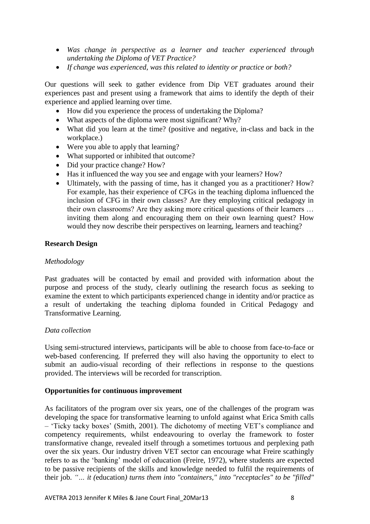- *Was change in perspective as a learner and teacher experienced through undertaking the Diploma of VET Practice?*
- *If change was experienced, was this related to identity or practice or both?*

Our questions will seek to gather evidence from Dip VET graduates around their experiences past and present using a framework that aims to identify the depth of their experience and applied learning over time.

- How did you experience the process of undertaking the Diploma?
- What aspects of the diploma were most significant? Why?
- What did you learn at the time? (positive and negative, in-class and back in the workplace.)
- Were you able to apply that learning?
- What supported or inhibited that outcome?
- Did your practice change? How?
- Has it influenced the way you see and engage with your learners? How?
- Ultimately, with the passing of time, has it changed you as a practitioner? How? For example, has their experience of CFGs in the teaching diploma influenced the inclusion of CFG in their own classes? Are they employing critical pedagogy in their own classrooms? Are they asking more critical questions of their learners … inviting them along and encouraging them on their own learning quest? How would they now describe their perspectives on learning, learners and teaching?

#### **Research Design**

#### *Methodology*

Past graduates will be contacted by email and provided with information about the purpose and process of the study, clearly outlining the research focus as seeking to examine the extent to which participants experienced change in identity and/or practice as a result of undertaking the teaching diploma founded in Critical Pedagogy and Transformative Learning.

#### *Data collection*

Using semi-structured interviews, participants will be able to choose from face-to-face or web-based conferencing. If preferred they will also having the opportunity to elect to submit an audio-visual recording of their reflections in response to the questions provided. The interviews will be recorded for transcription.

#### **Opportunities for continuous improvement**

As facilitators of the program over six years, one of the challenges of the program was developing the space for transformative learning to unfold against what Erica Smith calls – 'Ticky tacky boxes' [\(Smith, 2001\)](#page-9-19). The dichotomy of meeting VET's compliance and competency requirements, whilst endeavouring to overlay the framework to foster transformative change, revealed itself through a sometimes tortuous and perplexing path over the six years. Our industry driven VET sector can encourage what Freire scathingly refers to as the 'banking' model of education [\(Freire, 1972\)](#page-9-2), where students are expected to be passive recipients of the skills and knowledge needed to fulfil the requirements of their job. *"… it (*education*) turns them into "containers," into "receptacles" to be "filled"*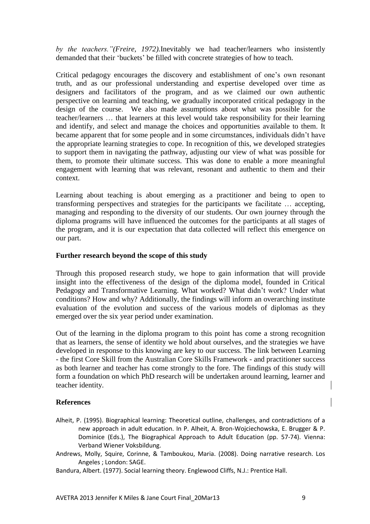*by the teachers."[\(Freire, 1972\)](#page-9-2).*Inevitably we had teacher/learners who insistently demanded that their 'buckets' be filled with concrete strategies of how to teach.

Critical pedagogy encourages the discovery and establishment of one's own resonant truth, and as our professional understanding and expertise developed over time as designers and facilitators of the program, and as we claimed our own authentic perspective on learning and teaching, we gradually incorporated critical pedagogy in the design of the course. We also made assumptions about what was possible for the teacher/learners … that learners at this level would take responsibility for their learning and identify, and select and manage the choices and opportunities available to them. It became apparent that for some people and in some circumstances, individuals didn't have the appropriate learning strategies to cope. In recognition of this, we developed strategies to support them in navigating the pathway, adjusting our view of what was possible for them, to promote their ultimate success. This was done to enable a more meaningful engagement with learning that was relevant, resonant and authentic to them and their context.

Learning about teaching is about emerging as a practitioner and being to open to transforming perspectives and strategies for the participants we facilitate … accepting, managing and responding to the diversity of our students. Our own journey through the diploma programs will have influenced the outcomes for the participants at all stages of the program, and it is our expectation that data collected will reflect this emergence on our part.

## **Further research beyond the scope of this study**

Through this proposed research study, we hope to gain information that will provide insight into the effectiveness of the design of the diploma model, founded in Critical Pedagogy and Transformative Learning. What worked? What didn't work? Under what conditions? How and why? Additionally, the findings will inform an overarching institute evaluation of the evolution and success of the various models of diplomas as they emerged over the six year period under examination.

Out of the learning in the diploma program to this point has come a strong recognition that as learners, the sense of identity we hold about ourselves, and the strategies we have developed in response to this knowing are key to our success. The link between Learning - the first Core Skill from the Australian Core Skills Framework - and practitioner success as both learner and teacher has come strongly to the fore. The findings of this study will form a foundation on which PhD research will be undertaken around learning, learner and teacher identity.

#### **References**

- <span id="page-8-0"></span>Alheit, P. (1995). Biographical learning: Theoretical outline, challenges, and contradictions of a new approach in adult education. In P. Alheit, A. Bron-Wojciechowska, E. Brugger & P. Dominice (Eds.), The Biographical Approach to Adult Education (pp. 57-74). Vienna: Verband Wiener Voksbildung.
- <span id="page-8-1"></span>Andrews, Molly, Squire, Corinne, & Tamboukou, Maria. (2008). Doing narrative research. Los Angeles ; London: SAGE.
- <span id="page-8-2"></span>Bandura, Albert. (1977). Social learning theory. Englewood Cliffs, N.J.: Prentice Hall.